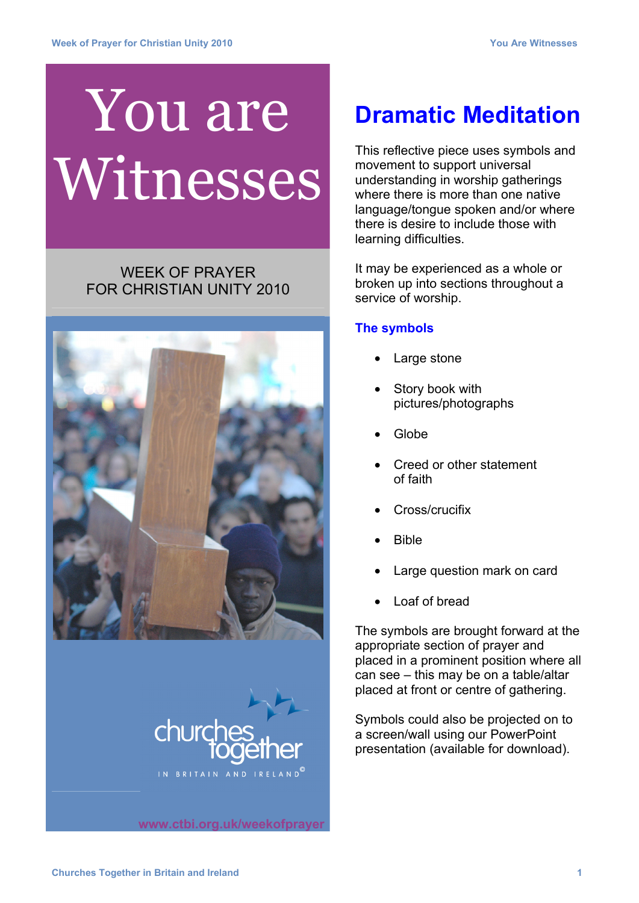## You are Witnesses

## WEEK OF PRAYER FOR CHRISTIAN UNITY 2010





**www.ctbi.org.uk/weekofprayer**

## **Dramatic Meditation**

This reflective piece uses symbols and movement to support universal understanding in worship gatherings where there is more than one native language/tongue spoken and/or where there is desire to include those with learning difficulties.

It may be experienced as a whole or broken up into sections throughout a service of worship.

## **The symbols**

- **Large stone**
- Story book with pictures/photographs
- Globe
- Creed or other statement of faith
- Cross/crucifix
- Bible
- Large question mark on card
- Loaf of bread

The symbols are brought forward at the appropriate section of prayer and placed in a prominent position where all can see – this may be on a table/altar placed at front or centre of gathering.

Symbols could also be projected on to a screen/wall using our PowerPoint presentation (available for download).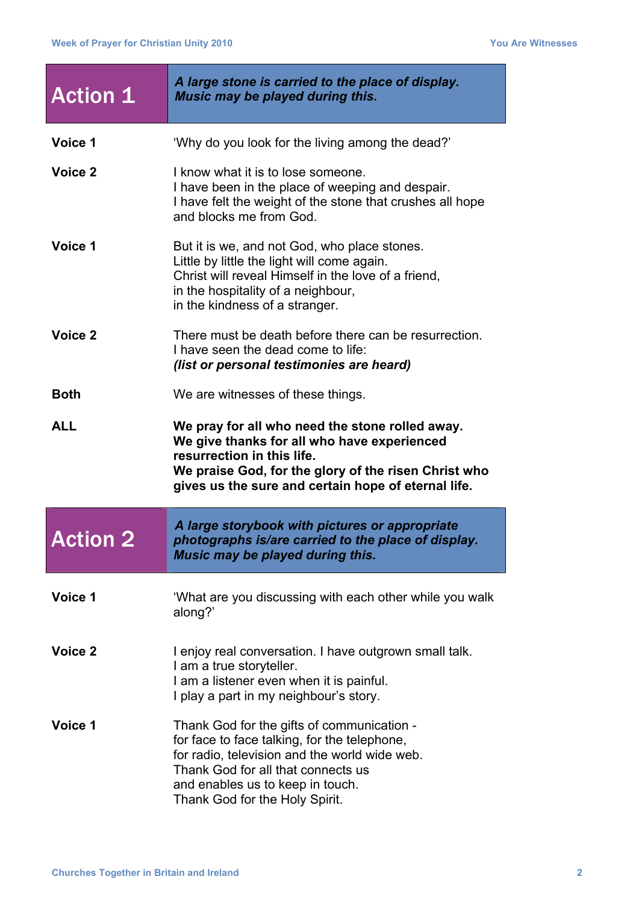| <b>Action 1</b> | A large stone is carried to the place of display.<br>Music may be played during this.                                                                                                                                                       |
|-----------------|---------------------------------------------------------------------------------------------------------------------------------------------------------------------------------------------------------------------------------------------|
| Voice 1         | 'Why do you look for the living among the dead?'                                                                                                                                                                                            |
| Voice 2         | I know what it is to lose someone.<br>I have been in the place of weeping and despair.<br>I have felt the weight of the stone that crushes all hope<br>and blocks me from God.                                                              |
| Voice 1         | But it is we, and not God, who place stones.<br>Little by little the light will come again.<br>Christ will reveal Himself in the love of a friend,<br>in the hospitality of a neighbour,<br>in the kindness of a stranger.                  |
| Voice 2         | There must be death before there can be resurrection.<br>I have seen the dead come to life:<br>(list or personal testimonies are heard)                                                                                                     |
| <b>Both</b>     | We are witnesses of these things.                                                                                                                                                                                                           |
| <b>ALL</b>      | We pray for all who need the stone rolled away.<br>We give thanks for all who have experienced<br>resurrection in this life.<br>We praise God, for the glory of the risen Christ who<br>gives us the sure and certain hope of eternal life. |
| <b>Action 2</b> | A large storybook with pictures or appropriate<br>photographs is/are carried to the place of display.<br>Music may be played during this.                                                                                                   |
| Voice 1         | 'What are you discussing with each other while you walk<br>along?'                                                                                                                                                                          |
|                 |                                                                                                                                                                                                                                             |
| Voice 2         | I enjoy real conversation. I have outgrown small talk.<br>I am a true storyteller.<br>I am a listener even when it is painful.<br>I play a part in my neighbour's story.                                                                    |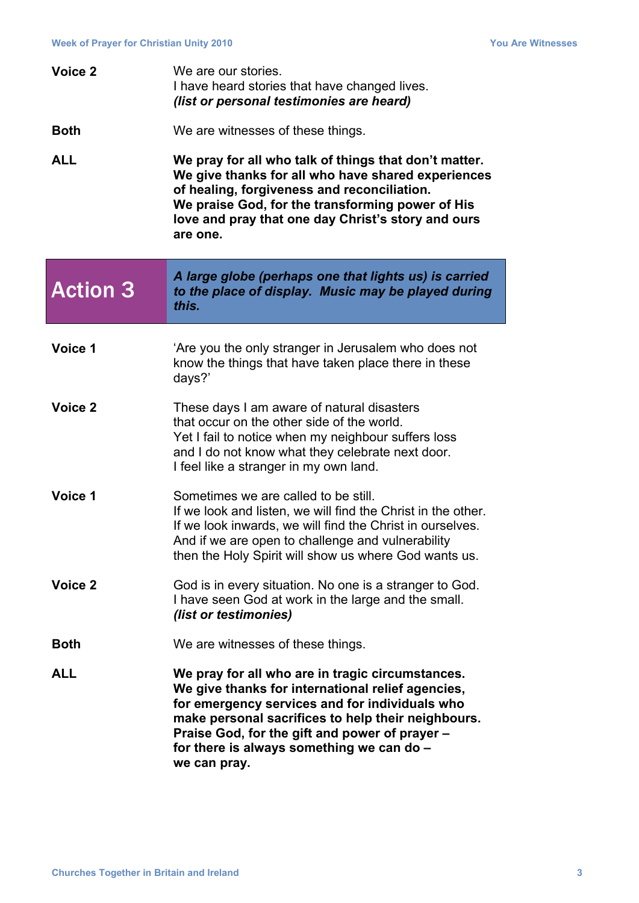| Voice 2         | We are our stories.<br>I have heard stories that have changed lives.<br>(list or personal testimonies are heard)                                                                                                                                                                                                             |
|-----------------|------------------------------------------------------------------------------------------------------------------------------------------------------------------------------------------------------------------------------------------------------------------------------------------------------------------------------|
| <b>Both</b>     | We are witnesses of these things.                                                                                                                                                                                                                                                                                            |
| <b>ALL</b>      | We pray for all who talk of things that don't matter.<br>We give thanks for all who have shared experiences<br>of healing, forgiveness and reconciliation.<br>We praise God, for the transforming power of His<br>love and pray that one day Christ's story and ours<br>are one.                                             |
| <b>Action 3</b> | A large globe (perhaps one that lights us) is carried<br>to the place of display. Music may be played during<br>this.                                                                                                                                                                                                        |
| Voice 1         | 'Are you the only stranger in Jerusalem who does not<br>know the things that have taken place there in these<br>days?'                                                                                                                                                                                                       |
| Voice 2         | These days I am aware of natural disasters<br>that occur on the other side of the world.<br>Yet I fail to notice when my neighbour suffers loss<br>and I do not know what they celebrate next door.<br>I feel like a stranger in my own land.                                                                                |
| Voice 1         | Sometimes we are called to be still.<br>If we look and listen, we will find the Christ in the other.<br>If we look inwards, we will find the Christ in ourselves.<br>And if we are open to challenge and vulnerability<br>then the Holy Spirit will show us where God wants us.                                              |
| Voice 2         | God is in every situation. No one is a stranger to God.<br>I have seen God at work in the large and the small.<br>(list or testimonies)                                                                                                                                                                                      |
| <b>Both</b>     | We are witnesses of these things.                                                                                                                                                                                                                                                                                            |
| <b>ALL</b>      | We pray for all who are in tragic circumstances.<br>We give thanks for international relief agencies,<br>for emergency services and for individuals who<br>make personal sacrifices to help their neighbours.<br>Praise God, for the gift and power of prayer -<br>for there is always something we can do -<br>we can pray. |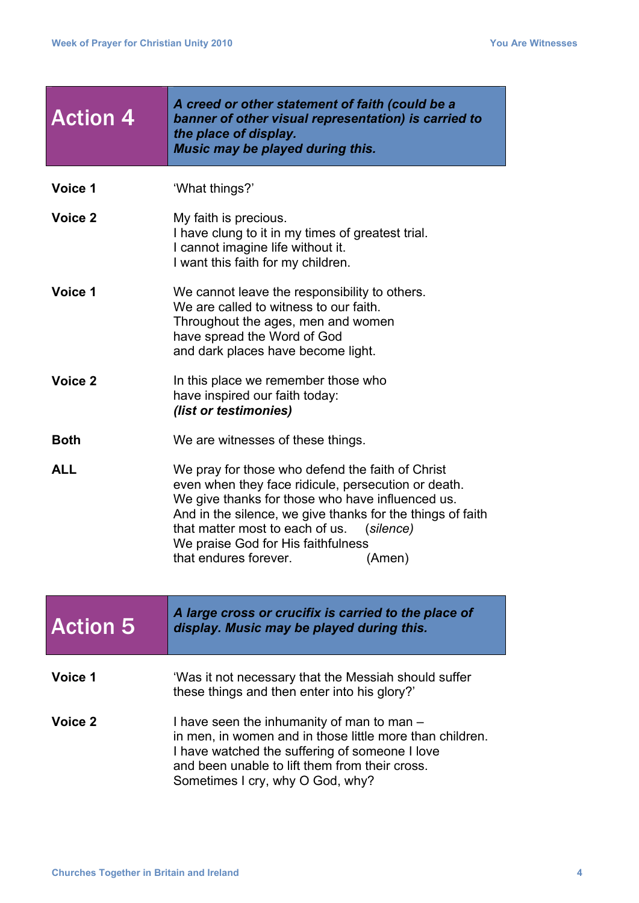| <b>Action 4</b> | A creed or other statement of faith (could be a<br>banner of other visual representation) is carried to<br>the place of display.<br>Music may be played during this.                                                                                                                                                                            |
|-----------------|-------------------------------------------------------------------------------------------------------------------------------------------------------------------------------------------------------------------------------------------------------------------------------------------------------------------------------------------------|
| Voice 1         | 'What things?'                                                                                                                                                                                                                                                                                                                                  |
| Voice 2         | My faith is precious.<br>I have clung to it in my times of greatest trial.<br>I cannot imagine life without it.<br>I want this faith for my children.                                                                                                                                                                                           |
| Voice 1         | We cannot leave the responsibility to others.<br>We are called to witness to our faith.<br>Throughout the ages, men and women<br>have spread the Word of God<br>and dark places have become light.                                                                                                                                              |
| Voice 2         | In this place we remember those who<br>have inspired our faith today:<br>(list or testimonies)                                                                                                                                                                                                                                                  |
| <b>Both</b>     | We are witnesses of these things.                                                                                                                                                                                                                                                                                                               |
| <b>ALL</b>      | We pray for those who defend the faith of Christ<br>even when they face ridicule, persecution or death.<br>We give thanks for those who have influenced us.<br>And in the silence, we give thanks for the things of faith<br>that matter most to each of us. (silence)<br>We praise God for His faithfulness<br>that endures forever.<br>(Amen) |
| <b>Action 5</b> | A large cross or crucifix is carried to the place of<br>display. Music may be played during this.                                                                                                                                                                                                                                               |
| Voice 1         | 'Was it not necessary that the Messiah should suffer<br>these things and then enter into his glory?'                                                                                                                                                                                                                                            |
| Voice 2         | I have seen the inhumanity of man to man –<br>in men, in women and in those little more than children.<br>I have watched the suffering of someone I love<br>and been unable to lift them from their cross.<br>Sometimes I cry, why O God, why?                                                                                                  |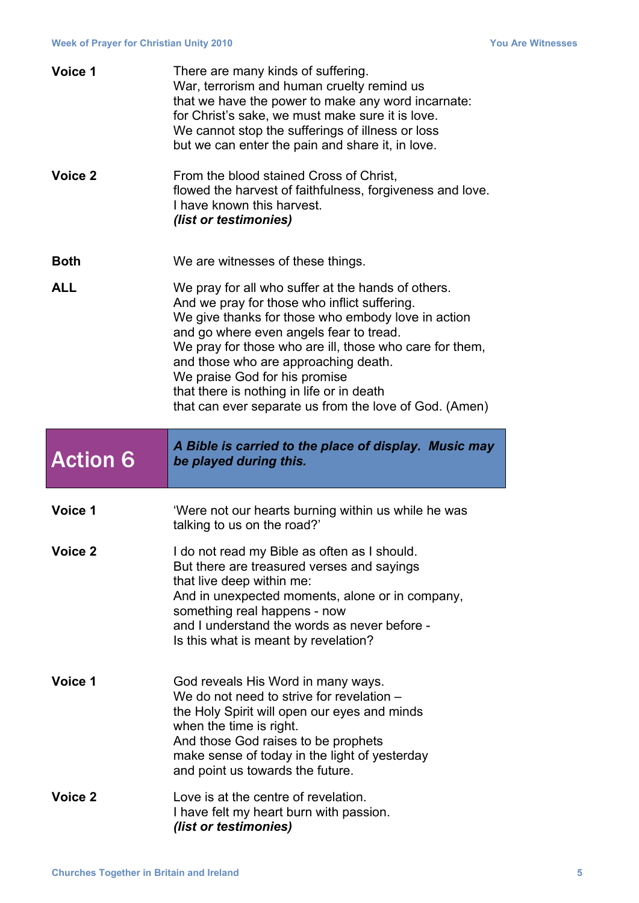| Voice 1         | There are many kinds of suffering.<br>War, terrorism and human cruelty remind us<br>that we have the power to make any word incarnate:<br>for Christ's sake, we must make sure it is love.<br>We cannot stop the sufferings of illness or loss<br>but we can enter the pain and share it, in love.                                                                                                                                             |
|-----------------|------------------------------------------------------------------------------------------------------------------------------------------------------------------------------------------------------------------------------------------------------------------------------------------------------------------------------------------------------------------------------------------------------------------------------------------------|
| Voice 2         | From the blood stained Cross of Christ,<br>flowed the harvest of faithfulness, forgiveness and love.<br>I have known this harvest.<br>(list or testimonies)                                                                                                                                                                                                                                                                                    |
| <b>Both</b>     | We are witnesses of these things.                                                                                                                                                                                                                                                                                                                                                                                                              |
| <b>ALL</b>      | We pray for all who suffer at the hands of others.<br>And we pray for those who inflict suffering.<br>We give thanks for those who embody love in action<br>and go where even angels fear to tread.<br>We pray for those who are ill, those who care for them,<br>and those who are approaching death.<br>We praise God for his promise<br>that there is nothing in life or in death<br>that can ever separate us from the love of God. (Amen) |
|                 |                                                                                                                                                                                                                                                                                                                                                                                                                                                |
| <b>Action 6</b> | A Bible is carried to the place of display. Music may<br>be played during this.                                                                                                                                                                                                                                                                                                                                                                |
| Voice 1         | 'Were not our hearts burning within us while he was<br>talking to us on the road?'                                                                                                                                                                                                                                                                                                                                                             |
| Voice 2         | I do not read my Bible as often as I should.<br>But there are treasured verses and sayings<br>that live deep within me:<br>And in unexpected moments, alone or in company,<br>something real happens - now<br>and I understand the words as never before -<br>Is this what is meant by revelation?                                                                                                                                             |
| Voice 1         | God reveals His Word in many ways.<br>We do not need to strive for revelation -<br>the Holy Spirit will open our eyes and minds<br>when the time is right.<br>And those God raises to be prophets<br>make sense of today in the light of yesterday<br>and point us towards the future.                                                                                                                                                         |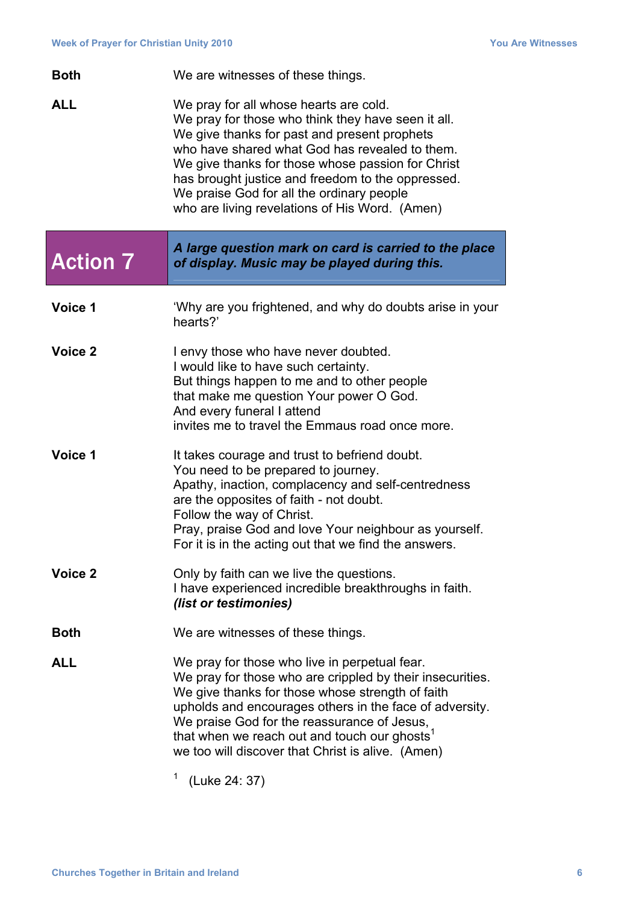| <b>Both</b>     | We are witnesses of these things.                                                                                                                                                                                                                                                                                                                                                                       |
|-----------------|---------------------------------------------------------------------------------------------------------------------------------------------------------------------------------------------------------------------------------------------------------------------------------------------------------------------------------------------------------------------------------------------------------|
| <b>ALL</b>      | We pray for all whose hearts are cold.<br>We pray for those who think they have seen it all.<br>We give thanks for past and present prophets<br>who have shared what God has revealed to them.<br>We give thanks for those whose passion for Christ<br>has brought justice and freedom to the oppressed.<br>We praise God for all the ordinary people<br>who are living revelations of His Word. (Amen) |
| <b>Action 7</b> | A large question mark on card is carried to the place<br>of display. Music may be played during this.                                                                                                                                                                                                                                                                                                   |
| Voice 1         | 'Why are you frightened, and why do doubts arise in your<br>hearts?'                                                                                                                                                                                                                                                                                                                                    |
| Voice 2         | I envy those who have never doubted.<br>I would like to have such certainty.<br>But things happen to me and to other people<br>that make me question Your power O God.<br>And every funeral I attend<br>invites me to travel the Emmaus road once more.                                                                                                                                                 |
| Voice 1         | It takes courage and trust to befriend doubt.<br>You need to be prepared to journey.<br>Apathy, inaction, complacency and self-centredness<br>are the opposites of faith - not doubt.<br>Follow the way of Christ.<br>Pray, praise God and love Your neighbour as yourself.<br>For it is in the acting out that we find the answers.                                                                    |
| Voice 2         | Only by faith can we live the questions.<br>I have experienced incredible breakthroughs in faith.<br>(list or testimonies)                                                                                                                                                                                                                                                                              |
| <b>Both</b>     | We are witnesses of these things.                                                                                                                                                                                                                                                                                                                                                                       |
| <b>ALL</b>      | We pray for those who live in perpetual fear.<br>We pray for those who are crippled by their insecurities.<br>We give thanks for those whose strength of faith<br>upholds and encourages others in the face of adversity.<br>We praise God for the reassurance of Jesus,<br>that when we reach out and touch our ghosts <sup>1</sup><br>we too will discover that Christ is alive. (Amen)               |

 $1$  (Luke 24: 37)